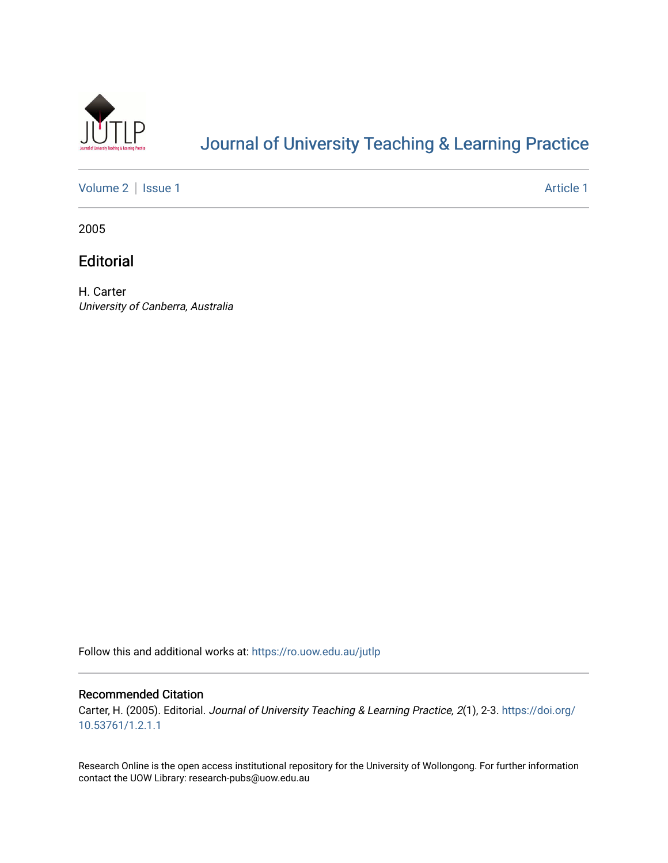

# [Journal of University Teaching & Learning Practice](https://ro.uow.edu.au/jutlp)

[Volume 2](https://ro.uow.edu.au/jutlp/vol2) | [Issue 1](https://ro.uow.edu.au/jutlp/vol2/iss1) Article 1

2005

**Editorial** 

H. Carter University of Canberra, Australia

Follow this and additional works at: [https://ro.uow.edu.au/jutlp](https://ro.uow.edu.au/jutlp?utm_source=ro.uow.edu.au%2Fjutlp%2Fvol2%2Fiss1%2F1&utm_medium=PDF&utm_campaign=PDFCoverPages) 

#### Recommended Citation

Carter, H. (2005). Editorial. Journal of University Teaching & Learning Practice, 2(1), 2-3. [https://doi.org/](https://doi.org/10.53761/1.2.1.1) [10.53761/1.2.1.1](https://doi.org/10.53761/1.2.1.1)

Research Online is the open access institutional repository for the University of Wollongong. For further information contact the UOW Library: research-pubs@uow.edu.au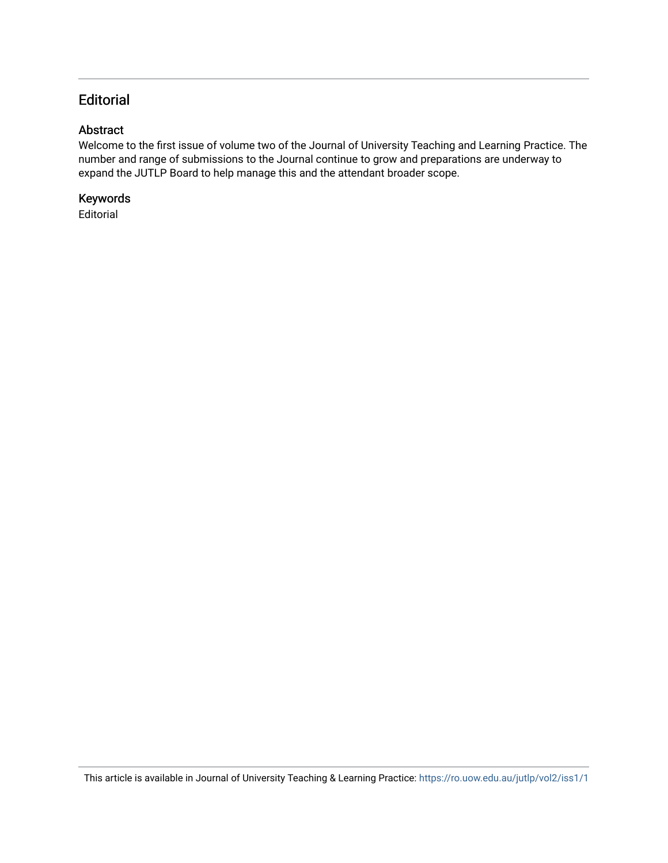## **Editorial**

#### Abstract

Welcome to the first issue of volume two of the Journal of University Teaching and Learning Practice. The number and range of submissions to the Journal continue to grow and preparations are underway to expand the JUTLP Board to help manage this and the attendant broader scope.

#### Keywords

Editorial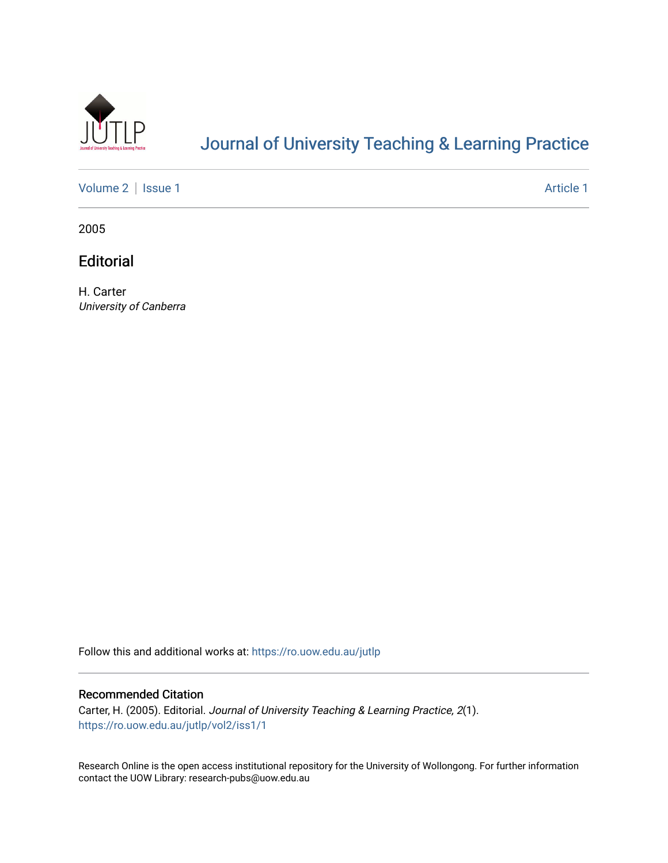

# [Journal of University Teaching & Learning Practice](https://ro.uow.edu.au/jutlp)

[Volume 2](https://ro.uow.edu.au/jutlp/vol2) | [Issue 1](https://ro.uow.edu.au/jutlp/vol2/iss1) Article 1

2005

**Editorial** 

H. Carter University of Canberra

Follow this and additional works at: [https://ro.uow.edu.au/jutlp](https://ro.uow.edu.au/jutlp?utm_source=ro.uow.edu.au%2Fjutlp%2Fvol2%2Fiss1%2F1&utm_medium=PDF&utm_campaign=PDFCoverPages) 

#### Recommended Citation

Carter, H. (2005). Editorial. Journal of University Teaching & Learning Practice, 2(1). [https://ro.uow.edu.au/jutlp/vol2/iss1/1](https://ro.uow.edu.au/jutlp/vol2/iss1/1?utm_source=ro.uow.edu.au%2Fjutlp%2Fvol2%2Fiss1%2F1&utm_medium=PDF&utm_campaign=PDFCoverPages) 

Research Online is the open access institutional repository for the University of Wollongong. For further information contact the UOW Library: research-pubs@uow.edu.au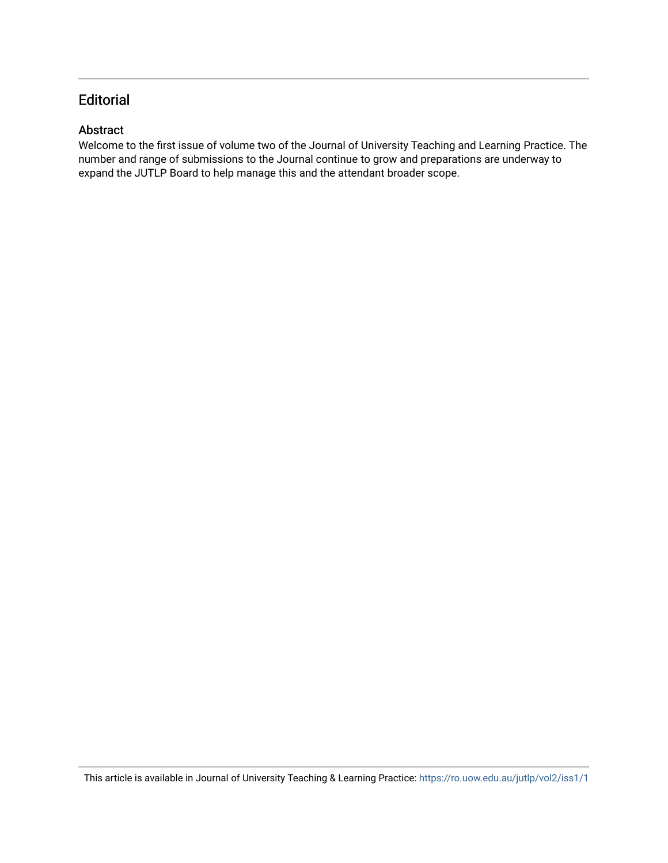## **Editorial**

#### Abstract

Welcome to the first issue of volume two of the Journal of University Teaching and Learning Practice. The number and range of submissions to the Journal continue to grow and preparations are underway to expand the JUTLP Board to help manage this and the attendant broader scope.

This article is available in Journal of University Teaching & Learning Practice:<https://ro.uow.edu.au/jutlp/vol2/iss1/1>